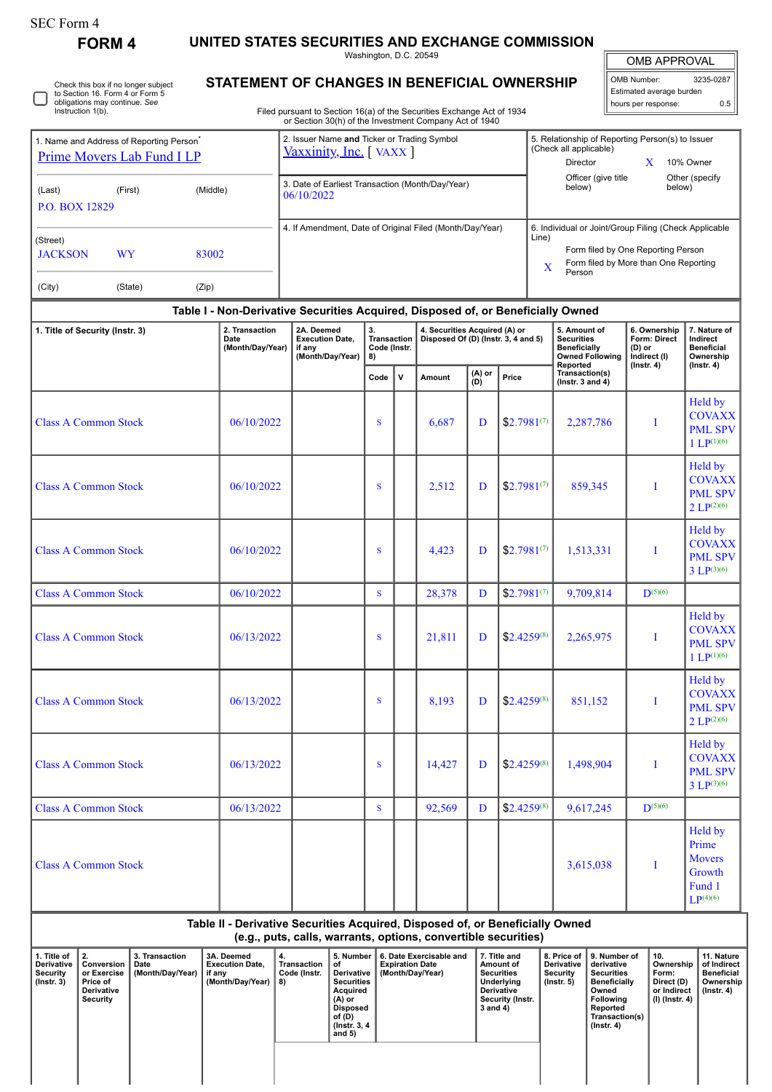## SEC Form 4

**FORM 4 UNITED STATES SECURITIES AND EXCHANGE COMMISSION**

Washington, D.C. 20549

| OMB APPROVAL             |                     |  |  |  |  |  |  |  |  |  |  |
|--------------------------|---------------------|--|--|--|--|--|--|--|--|--|--|
|                          |                     |  |  |  |  |  |  |  |  |  |  |
| OMB Number:              | 3235-0287           |  |  |  |  |  |  |  |  |  |  |
| Estimated average burden |                     |  |  |  |  |  |  |  |  |  |  |
|                          | ስ 5                 |  |  |  |  |  |  |  |  |  |  |
|                          | hours per response: |  |  |  |  |  |  |  |  |  |  |

| Instruction 1(b).               | Check this box if no longer subject<br>to Section 16. Form 4 or Form 5<br>obligations may continue. See |                                                                                  | STATEMENT OF CHANGES IN BENEFICIAL OWNERSHIP<br>Filed pursuant to Section 16(a) of the Securities Exchange Act of 1934<br>or Section 30(h) of the Investment Company Act of 1940 |                                                |              |                                                                      |                                                                                                                                                    |                               |        |                                                                                                | OMB Number:<br>Estimated average burden<br>hours per response:                     | 3235-0287<br>0.5                                                               |
|---------------------------------|---------------------------------------------------------------------------------------------------------|----------------------------------------------------------------------------------|----------------------------------------------------------------------------------------------------------------------------------------------------------------------------------|------------------------------------------------|--------------|----------------------------------------------------------------------|----------------------------------------------------------------------------------------------------------------------------------------------------|-------------------------------|--------|------------------------------------------------------------------------------------------------|------------------------------------------------------------------------------------|--------------------------------------------------------------------------------|
|                                 | 1. Name and Address of Reporting Person <sup>*</sup><br>Prime Movers Lab Fund I LP                      |                                                                                  | 2. Issuer Name and Ticker or Trading Symbol<br>Vaxxinity, Inc. [VAXX]                                                                                                            |                                                |              |                                                                      | 5. Relationship of Reporting Person(s) to Issuer<br>(Check all applicable)<br>Director<br>10% Owner<br>X                                           |                               |        |                                                                                                |                                                                                    |                                                                                |
| (Last)<br><b>P.O. BOX 12829</b> | (First)                                                                                                 | (Middle)                                                                         | 3. Date of Earliest Transaction (Month/Day/Year)<br>06/10/2022                                                                                                                   |                                                |              |                                                                      |                                                                                                                                                    | Officer (give title<br>below) |        | Other (specify<br>below)                                                                       |                                                                                    |                                                                                |
| (Street)<br><b>JACKSON</b>      | <b>WY</b>                                                                                               | 83002                                                                            | 4. If Amendment, Date of Original Filed (Month/Day/Year)                                                                                                                         |                                                |              |                                                                      | 6. Individual or Joint/Group Filing (Check Applicable<br>Line)<br>Form filed by One Reporting Person<br>Form filed by More than One Reporting<br>X |                               |        |                                                                                                |                                                                                    |                                                                                |
| (City)                          | (State)                                                                                                 | (Zip)                                                                            |                                                                                                                                                                                  |                                                |              |                                                                      |                                                                                                                                                    |                               | Person |                                                                                                |                                                                                    |                                                                                |
|                                 |                                                                                                         | Table I - Non-Derivative Securities Acquired, Disposed of, or Beneficially Owned |                                                                                                                                                                                  |                                                |              |                                                                      |                                                                                                                                                    |                               |        |                                                                                                |                                                                                    |                                                                                |
| 1. Title of Security (Instr. 3) |                                                                                                         | 2. Transaction<br>Date<br>(Month/Day/Year)                                       | 2A. Deemed<br><b>Execution Date,</b><br>if any<br>(Month/Day/Year)                                                                                                               | 3.<br><b>Transaction</b><br>Code (Instr.<br>8) |              | 4. Securities Acquired (A) or<br>Disposed Of (D) (Instr. 3, 4 and 5) |                                                                                                                                                    |                               |        | 5. Amount of<br><b>Securities</b><br><b>Beneficially</b><br><b>Owned Following</b><br>Reported | 6. Ownership<br><b>Form: Direct</b><br>(D) or<br>Indirect (I)<br>$($ Instr. 4) $)$ | 7. Nature of<br>Indirect<br><b>Beneficial</b><br>Ownership<br>$($ lnstr. 4 $)$ |
|                                 |                                                                                                         |                                                                                  |                                                                                                                                                                                  | Code                                           | $\mathsf{v}$ | (A) or<br>Amount<br>(D)                                              |                                                                                                                                                    | Price                         |        | Transaction(s)<br>( $lnstr. 3 and 4$ )                                                         |                                                                                    |                                                                                |
| <b>Class A Common Stock</b>     |                                                                                                         | 06/10/2022                                                                       |                                                                                                                                                                                  | S                                              |              | 6,687                                                                | D                                                                                                                                                  | $$2.7981^{(7)}$               |        | 2,287,786                                                                                      | I                                                                                  | Held by<br><b>COVAXX</b><br><b>PML SPV</b><br>1 $LP^{(1)(6)}$                  |
| <b>Class A Common Stock</b>     |                                                                                                         | 06/10/2022                                                                       |                                                                                                                                                                                  | S                                              |              | 2,512                                                                | D                                                                                                                                                  | $$2.7981^{(7)}$               |        | 859,345                                                                                        | I                                                                                  | Held by<br><b>COVAXX</b><br><b>PML SPV</b><br>2 LP <sup>(2)(6)</sup>           |
| <b>Class A Common Stock</b>     |                                                                                                         | 06/10/2022                                                                       |                                                                                                                                                                                  | S                                              |              | 4,423                                                                | D                                                                                                                                                  | $$2.7981^{(7)}$               |        | 1,513,331                                                                                      | I                                                                                  | Held by<br><b>COVAXX</b><br><b>PML SPV</b><br>$3 LP^{(3)(6)}$                  |
| <b>Class A Common Stock</b>     |                                                                                                         | 06/10/2022                                                                       |                                                                                                                                                                                  | S                                              |              | 28,378                                                               | D                                                                                                                                                  | $$2.7981^{(7)}$               |        | 9,709,814                                                                                      | $D^{(5)(6)}$                                                                       |                                                                                |
| <b>Class A Common Stock</b>     |                                                                                                         | 06/13/2022                                                                       |                                                                                                                                                                                  | S                                              |              | 21,811                                                               | D                                                                                                                                                  | $$2.4259^{(8)}$               |        | 2,265,975                                                                                      | I                                                                                  | Held by<br><b>COVAXX</b><br><b>PML SPV</b><br>$1 \text{ LP}^{(1)(6)}$          |
| <b>Class A Common Stock</b>     |                                                                                                         | 06/13/2022                                                                       |                                                                                                                                                                                  | S                                              |              | 8,193                                                                | D                                                                                                                                                  | $$2.4259^{(8)}$               |        | 851,152                                                                                        | I                                                                                  | Held by<br><b>COVAXX</b><br><b>PML SPV</b><br>2 LP <sup>(2)(6)</sup>           |
| <b>Class A Common Stock</b>     |                                                                                                         | 06/13/2022                                                                       |                                                                                                                                                                                  | S                                              |              | 14,427                                                               | D                                                                                                                                                  | $$2.4259^{(8)}$               |        | 1,498,904                                                                                      | I                                                                                  | Held by<br><b>COVAXX</b><br><b>PML SPV</b><br>$3 LP^{(3)(6)}$                  |
| <b>Class A Common Stock</b>     |                                                                                                         | 06/13/2022                                                                       |                                                                                                                                                                                  | $\overline{\mathbf{S}}$                        |              | 92,569                                                               | D                                                                                                                                                  | $$2.4259^{(8)}$               |        | 9,617,245                                                                                      | $D^{(5)(6)}$                                                                       |                                                                                |
| <b>Class A Common Stock</b>     |                                                                                                         |                                                                                  |                                                                                                                                                                                  |                                                |              |                                                                      |                                                                                                                                                    |                               |        | 3,615,038                                                                                      | I                                                                                  | Held by<br>Prime<br><b>Movers</b><br>Growth<br>Fund 1<br>$LP^{(4)(6)}$         |

**Table II - Derivative Securities Acquired, Disposed of, or Beneficially Owned (e.g., puts, calls, warrants, options, convertible securities)**

| 1. Title of<br>Derivative<br>Security<br>(Instr. 3) | <u> 12.</u><br>Conversion<br>or Exercise<br>Price of<br><b>Derivative</b><br>Security | 3. Transaction<br>Date<br>(Month/Day/Year) | 3A. Deemed<br><b>Execution Date.</b><br>if any<br>(Month/Day/Year) | 5. Number<br>4.<br>Transaction<br>οf<br>Code (Instr.<br>Derivative<br><b>Securities</b><br>8)<br>Acquired<br>(A) or<br><b>Disposed</b><br>of (D)<br>(Instr. 3, 4)<br>and $5)$ |  | 6. Date Exercisable and<br><b>Expiration Date</b><br>(Month/Dav/Year) | 7. Title and<br>Amount of<br><b>Securities</b><br>Underlying<br><b>Derivative</b><br>Security (Instr.<br>3 and 4) | 8. Price of<br>Derivative<br>Security<br>$($ lnstr. 5 $)$ | 9. Number of<br>derivative<br><b>Securities</b><br><b>Beneficially</b><br>Owned<br><b>Following</b><br>Reported<br>Transaction(s)<br>$($ Instr. 4 $)$ | 10.<br>Ownership<br>Form:<br>Direct (D)<br>or Indirect<br>(I) (Instr. 4) | 11. Nature<br>of Indirect<br>Beneficial<br>Ownership<br>(Instr. 4) |
|-----------------------------------------------------|---------------------------------------------------------------------------------------|--------------------------------------------|--------------------------------------------------------------------|-------------------------------------------------------------------------------------------------------------------------------------------------------------------------------|--|-----------------------------------------------------------------------|-------------------------------------------------------------------------------------------------------------------|-----------------------------------------------------------|-------------------------------------------------------------------------------------------------------------------------------------------------------|--------------------------------------------------------------------------|--------------------------------------------------------------------|
|                                                     |                                                                                       |                                            |                                                                    |                                                                                                                                                                               |  |                                                                       |                                                                                                                   |                                                           |                                                                                                                                                       |                                                                          |                                                                    |